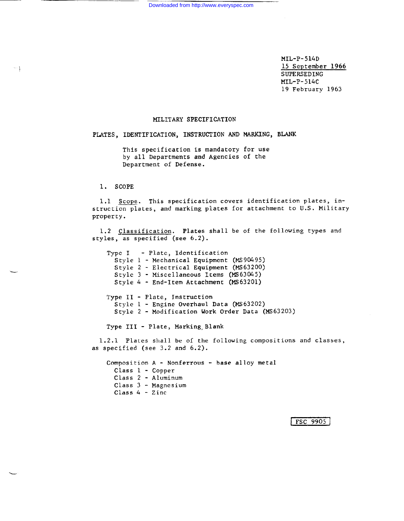MIL-P-514D 15 September 1966 SUPERSEDING MIL-T-514C 19 February 1963

### MILITARY SPECIFICATION

PLATES, IDENTIFICATION, INSTRUCTION AND MARKING, BLANK

This specification is mandatory for use by all Departments and Agencies of the Department of Defense.

1. SCOPE

-.

 $\mathbb{Z}$  )

1.1 Scope. This specification covers identification plates, instruction plates, and marking plates for attachment to U.S. Military property.

1.2 Classification. Plates shall be of the following types and styles, as specified (see 6.2).

Type I - Plate, Identification Style 1 - Mechanical Equipment (MS90495) Style 2 - Electrical Equipment (MS63200) Style 3 - Miscellaneous Items (MS63045) Style 4 - End-Item Attachment (MS63201) Type 11 - Plate, Instruction Style 1 - Engine Overhaul Data (MS63202) Style 2 - Modification Work Order Data (MS63203)

Type 111 - Plate, Marking, Blank

1.2.1 plates shall be of the following compositions and classes, as specified (see 3.2 and 6.2).

Composition A - Nonferrous - base alloy metal Class 1 - Copper Class 2 - Aluminum Class 3 - Magnesium Class 4 - Zinc

FSC 9905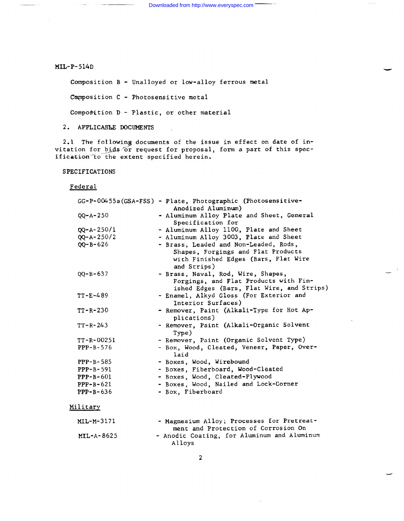-

# MIL-P-514D

Composition B - Unalloyed or low-alloy ferrous metal

(%qposition C - Photosensitive metal

Compo&ition D - Plastic, or other material

2. APPLICABLE DOCUMENTS

2.1 The following documents of the issue in effect on date of invitation for bids or request for proposal, form a part of this specification to the extent specified herein.

SPECIFICATIONS

Federal

|                  | GG-P-00455a(GSA-FSS) - Plate, Photographic (Photosensitive-    |
|------------------|----------------------------------------------------------------|
|                  | Anodized Aluminum)                                             |
| $OO-A-250$       | - Aluminum Alloy Plate and Sheet, General<br>Specification for |
| $QQ - A - 250/1$ | - Aluminum Alloy 1100, Plate and Sheet                         |
| $QQ - A - 250/2$ | - Aluminum Alloy 3003, Plate and Sheet                         |
| $QQ - B - 626$   | - Brass, Leaded and Non-Leaded, Rods,                          |
|                  | Shapes, Forgings and Flat Products                             |
|                  | with Finished Edges (Bars, Flat Wire                           |
|                  | and Strips)                                                    |
| $QQ - B - 637$   | - Brass, Naval, Rod, Wire, Shapes,                             |
|                  | Forgings, and Flat Products with Fin-                          |
|                  | ished Edges (Bars, Flat Wire, and Strips)                      |
| $TT-E-489$       | - Enamel, Alkyd Gloss (For Exterior and                        |
|                  | Interior Surfaces)                                             |
| $TT - R - 230$   | - Remover, Paint (Alkali-Type for Hot Ap-                      |
|                  | plications)                                                    |
| $TT - R - 243$   | - Remover, Paint (Alkali-Organic Solvent<br>Type)              |
| TT-R-00251       | - Remover, Paint (Organic Solvent Type)                        |
| $PPP-B-576$      | - Box, Wood, Cleated, Veneer, Paper, Over-<br>laid             |
| $PPP-B-585$      | - Boxes, Wood, Wirebound                                       |
| $PPP - B - 591$  | - Boxes, Fiberboard, Wood-Cleated                              |
| $PPP-B-601$      | - Boxes, Wood, Cleated-Plywood                                 |
| $PPP-B-621$      | - Boxes, Wood, Nailed and Lock-Corner                          |
| $PPP-B-636$      | - Box, Fiberboard                                              |
| Military         |                                                                |
|                  |                                                                |

| MTL-M-3171  | - Magnesium Alloy; Processes for Pretreat-  |
|-------------|---------------------------------------------|
|             | ment and Protection of Corrosion On         |
| $ML-A-8625$ | - Anodic Coating, for Aluminum and Aluminum |
|             | Alloys                                      |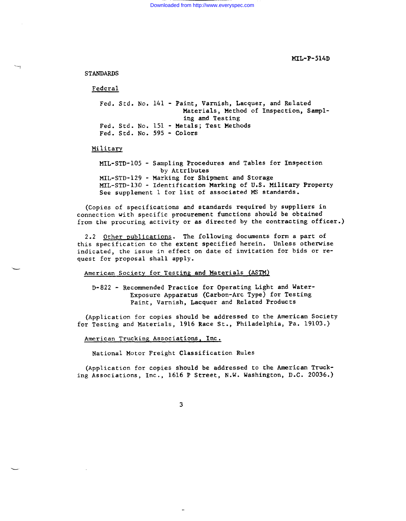Downloaded from http://www.everyspec.com

MIL-P-514D

STANDARDS

 $\overline{\phantom{a}}$ 

L

Federal

Fed. Std. No, 141 - Paint, Varnish, Lacquer, and Related Materials, Method of Inspection, Sampling and Testing Fed. Std. No. 151 - Metals; Test Methods Fed. Std. No. 595 - Colors

### Military

MIL-STD-105 - Sampling Procedures and Tables for Inspection by Attributes MIL-STD-129 - Marking for Shipment and Storage MIL-sTD-130 - Identification Marking of U.S. Military Property See supplement 1 for list of associated MS standards.

(Copies of specifications and standards required by suppliers in connection with specific procurement functions should be obtained from the procuring activity or as directed by the contracting officer.)

2.2 Other publications. The following documents form a part of this specification to the extent specified herein. Unless otherwise indicated, the issue in effect on date of invitation for bids or request for proposal shall apply.

#### American Society for Testing and Materials (ASTM)

D-822 - Recommended Practice for Operating Light and Water-Exposure Apparatus (Carbon-Arc Type) for Testing Paint, Varnish, Lacquer and Related Products

(Application for copies should be addressed to the American Society for Testing and Materials, 1916 Race St., Philadelphia, Pa. 19103.)

American Trucking Associations, Inc.

National Motor Freight Classification Rules

(Application for copies should be addressed to the American Trucking Associations, Inc., 1616 P Street, N.W. Washington, D.C. 20036.)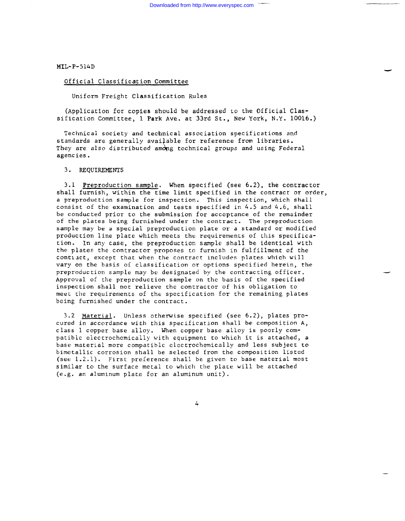#### Official Classification Committee

Uniform Freight Classification Rules

(Application for copies should be addressed to the Official Classification Committee, 1 Park Ave at 33rd St., New York, N.Y. 100L6.)

Technical society and technical association specifications and standards are generally available for reference from libraries. They are also distributed among technical groups and using Federal agencies .

#### 3. REQUIREMENTS

3.1 Preproduction sample. When specified (see 6.2), the contractor shall furnish, within the time limit specified in the contract or order, a preproduction sample for inspection. This inspection, which shall consist of the examination and tests specified in 4.5 and 4.6, shall be conducted prior to the submission for acceptance of the remainder of the plates being furnished under the contract. The preproduction sample may be a special preproduction plate or a standard or modified production line plate which meets the requirements of this specification. In any case, the preproduction sample shall be identical with the plates the contractor proposes to furnish in fulfillment of the contiact, except that when the contract includes plates which will vary on the basis of classification or options specified herein, the preproduction sample may be designated by the contracting officer. Approval of the preproduction sample on the basis of the specified inspection shall not relieve the contractor of his obligation to meet the requirements of the specification for the remaining plates being furnished under the contract.

3.2 Material. Unless otherwise specified (see 6.2), plates procured in accordance with this specification shall be composition A, class 1 copper base alloy. When copper base alloy is poorly compatible electrochcmically with equipment to which it is attached, a base material more compatible clcctrochemically and less subject to bimetallic corrosion shall be selected from the composition listed (see 1.2.1). First preference shall be given to base material most similar to the surface metal to which the plate will be attached (e.g. an aluminum plate for an aluminum unit).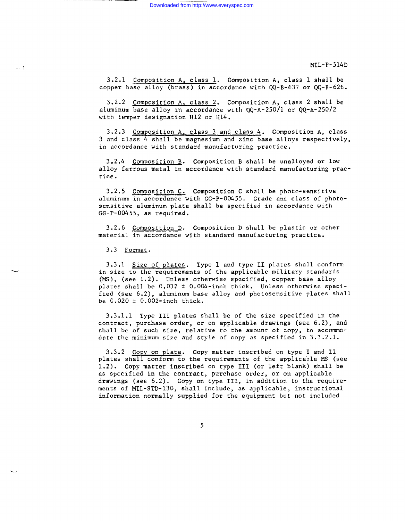3.2.1 Composition A, class 1. Composition A, class 1 shall be copper base alloy (brass) in accordance with  $QQ-B-637$  or  $QQ-B-626$ .

3.2.2 Composition A, class 2. Composition A, class 2 shall be aluminum base alloy in accordance with  $QQ-A-250/1$  or  $QQ-A-250/2$ with temper designation H12 or H14.

3.2.3 Composition A, class 3 and class 4. Composition A, class 3 and class 4 shall be magnesium and zinc base alloys respectively, in accordance with standard manufacturing practice.

3.2.4 Composition B. Composition B shall be unalloyed or low alloy ferrous metal in accordance with standard manufacturing practice.

3.2.5 Composition C. Composition C shall be photo-sensitive aluminum in accordance with GG-P-00455. Grade and class of photosensitive aluminum plate shall be specified in accordance with GG-P-00455, as required.

3,2.6 Composition D. Composition D shall be plastic or other material in accordance with standard manufacturing practice.

3.3 Format.

ican A

3.3.1 Size of plates. Type I and type II plates shall conform in size to the requirements of the applicable military standards (MS), (see 1.2). Unless otherwise specified, copper base alloy plates shall be  $0.032 \pm 0.004$ -inch thick. Unless otherwise specified (see 6.2), aluminum base alloy and photosensitive plates shall be  $0.020 \pm 0.002$ -inch thick.

3.3.1.1 Type III plates shall be of the size specified in the contract, purchase order, or on applicable drawings (see 6.2), and shall be of such size, relative to the amount of copy, to accommodate the minimum size and style of copy as specified in 3.3.2.1.

3.3.2 COPY on plate. Copy matter inscribed on type I and 11 plates shall conform to the requirements of the applicable MS (see 1.2). Copy matter inscribed on type III (or left blank) shall be as specified in the contract, purchase order, or on applicable drawings (see 6.2). Copy on type III, in addition to the requirements of MIL-STD-130, shall include, as applicable, instructional information normally supplied for the equipment but not included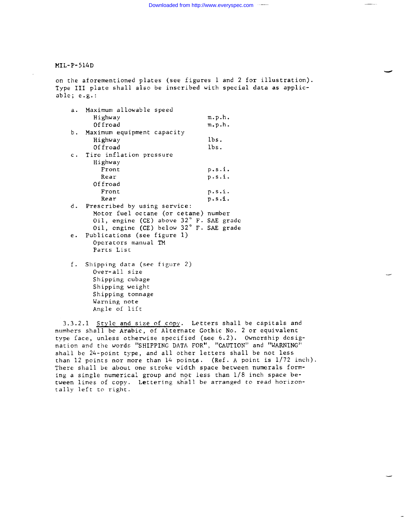-

## MIL-P-514D

on the aforementioned plates (see figures 1 and 2 for illustration). Type III plate shall also be inscribed with special data as applicable; e.g.:

| a. Maximum allowable speed              |        |
|-----------------------------------------|--------|
| Highway                                 | m.p.h. |
| Offroad                                 | m.p.h. |
| b. Maximum equipment capacity           |        |
| Highway                                 | lbs.   |
| Offroad                                 | lbs.   |
| c. Tire inflation pressure              |        |
| Highway                                 |        |
| Front                                   | p.s.i. |
| Rear                                    | p.s.i. |
| Offroad                                 |        |
| Front                                   | p.s.i. |
| Rear                                    | p.s.1. |
| d. Prescribed by using service:         |        |
| Motor fuel octane (or cetane) number    |        |
| Oil, engine (CE) above 32° F. SAE grado |        |
| Oil, engine (CE) below 32° F. SAE grade |        |
| e. Publications (see figure 1)          |        |
| Operators manual TM                     |        |
| Parts List                              |        |
|                                         |        |

f. Shipping data (see figure 2) Over-all size Shipping cubage Shipping weight Shipping tonnage Warning note Angle of lift

3.3.2.1 Style and size of copy. Letters shall be capitals and numbers shall be Arabic, of Alternate Gothic No. 2 or equivalent type face, unless otherwise specified (see 6.2). Ownership designation and the words "SHIPPING DATA FOR\*', "CAUTION" and "WARNING" shall be 24-point type, and all other letters shall be not less than 12 points nor more than  $14$  points. (Ref. A point is  $1/72$  inch). There shall be about one stroke width space between numerals forming a single numerical group and not less than  $1/8$  inch space between lines of copy. Lettering shall be arranged to read horizontally left to right.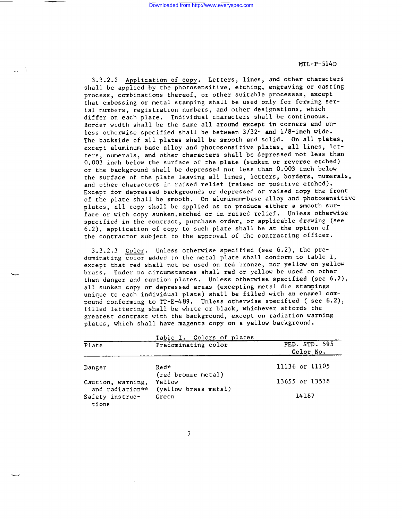Indian A

-----

### MIL-P-514D

3.3.2.2 Application of copy. Letters, lines, and other characters shall be applied by the photosensitive, etching, engraving or casting process, combinations thereof, or other suitable processes, except that embossing or metal stamping shall be used only for forming serial numbers, registration numbers, and other designations, which differ on each plate. Individual characters shall be continuous. Border width shall be the same all around except in corners and unless otherwise specified shall be between 3/32- and l/8-inch wide. The backside of all plates shall be smooth and solid. On all plates, except aluminum base alloy and photosensitive plates, all lines, letters, numerals, and other characters shall be depressed not less than 0.003 inch below the surface of the plate (sunken or reverse etched) or the background shall be depressed not less than 0.003 inch below the surface of the plate leaving all lines, letters, borders, numerals, and other characters in raised relief (raised or positive etched). Except for depressed backgrounds or depressed or raised copy the front of the plate shall be smooth. On aluminum-base alloy and photosensitive plates, all copy shall be applied as to produce either a smooth surface or with copy sunken, etched or in raised relief. Unless otherwise specified in the contract, purchase order, or applicable drawing (see 6.2), application of copy to such plate shall be at the option of the contractor subject to the approval of the contracting officer.

3.3.2.3 Color. Unless otherwise specified (see 6.2), the predominating color added to the metal plate shall conform to table I, except that red shall not be used on red bronze, nor yellow on yellow brass. Under no circumstances shall red or yellow be used on other than danger and caution plates. Unless otherwise specified (see 6.2), all sunken copy or depressed areas (excepting metal die stampings unique to each individual plate) shall be filled with an enamel compound conforming to TT-E-489. Unless otherwise specified ( see 6.2), filled lettering shall be white or black, whichever affords the greatest contrast with the background, except on radiation warning plates, which shall have magenta copy on a yellow background.

| Table I. Colors of plates    |                            |
|------------------------------|----------------------------|
| Predominating color          | FED. STD. 595<br>Color No. |
| Red*                         | 11136 or 11105             |
| (red bronze metal)<br>Yellow | 13655 or 13538             |
| Green                        | 14187                      |
|                              | (yellow brass metal)       |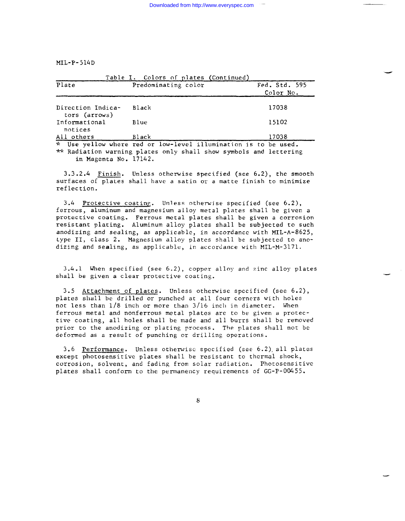.—

-

MIL-P-514D

|                                    | Table I. Colors of plates (Continued)                           |                            |
|------------------------------------|-----------------------------------------------------------------|----------------------------|
| $P$ late                           | Predominating color                                             | Fed. Std. 595<br>Color No. |
| Direction Indica-<br>tors (arrows) | Black                                                           | 17038                      |
| Informational<br>notices           | Blue                                                            | 15102                      |
| All others                         | Black                                                           | 17038                      |
|                                    | * Use yellow where red or low-level illumination is to be used. |                            |

\*\* Radiation warning plates only shall show symbols and lettering in Magenta No. 17142.

3.3.2.4 Finish. Unless otherwise specified (see 6.2), the smooth surfaces of plates shall have a satin or a matte finish to minimize reflection.

 $3.4$  Protective coating. Unless otherwise specified (see 6.2), ferrous, aluminum and magnesium alloy metal plates shall be given a protective coating. Ferrous metal plates shall be given a corrosion resistant plating. Aluminum alloy plates shall be subjected to such anodizing and sealing, *as* applicable, in accordance with MIL-A-8625, Lype 11, class 2. Magnesium alloy plates shall be subjected to anodizing and sealing, as applicable, in accordance with MIL-M-3171.

 $3.4.1$  When specified (see 6.2), copper alloy and zinc alloy plates shall be given a clear protective coating.

3.5 Attachment of plates. Unless otherwise specified (see 6.2), plates shall be drilled or punched at all four corners with holes not less than 1/8 inch or more than 3/16 inch in diameter. When ferrous metal and nonferrous metal plates are to be given a protective coating, all holes shall be made and all burrs shall be removed prior to the anodizing or plating process. The plates shall not be deformed as a result of punching or drilling operations.

3.6 Performance. Unless otherwise specified (see 6.2), all plates except photosensitive plates shall be resistant to thermal shock, corrosion, solvent, and fading from solar radiation. Photosensitive plates shall conform to the permanency requirements of GG-P-0W55.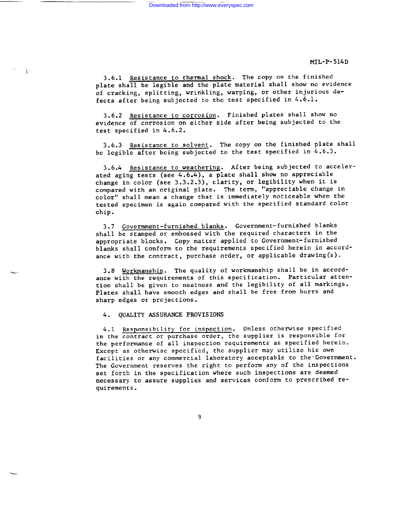3.6.1 Resistance to thermal shock. The copy on the finished plate shall be legible and the plate material shall show no evidence of cracking, splitting, wrinkling, warping, or other injurious defects after being subjected to the test specified in 4.6.1.

3.6.2 Resistance to corrosion. Finished plates shall show no evidence of corrosion on either side after being subjected to the test specified in 4.6.2.

3.6.3 Resistance to solvent. The copy on the finished plate shall be legible after being subjected to the test specified in 4.6.3.

3.6.4 Resistance to weathering. After being subjected to accelerated aging tests (see 4.6.4), a plate shall show no appreciable change in color (see 3.3.2.3), clarity, or legibility when it is compared with an original plate. The term, \*'appreciable change in color" shall mean a change that is immediately noticeable when the tested specimen is again compared with the specified standard color chip.

3.7 Government-furnished blanks. Government-furnished blanks shall be stamped or embossed with the required characters in the appropriate blocks. Copy matter applied to Government-furnished blanks shall conform to the requirements specified herein in accordance with the contract, purchase order, or applicable drawing(s).

3.8 Workmanship. The quality of workmanship shall be in accordance with the requirements of this specification. Particular attention shall be given to neatness and the legibility of all markings. Plates shall have smooth edges and shall be free from burrs and sharp edges or projections.

4. QUALITY ASSURANCE PROVISIONS

i

L

4.1 Responsibility for inspection. Unless otherwise specified in the contract or purchase order, the supplier is responsible for the performance of all inspection requirements as specified herein. Except as otherwise specified, the supplier may utilize his own facilities or any commercial laboratory acceptable to the-Government. The Government reserves the right to perform any of the inspections set forth in the specification where such inspections are deemed necessary to assure supplies and services conform to prescribed requirements.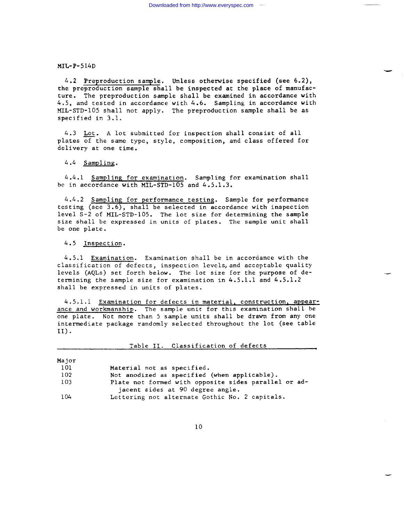4.2 Preproduction sample, Unless otherwise specified (see 6.2), the preproduction sample shall be inspected at the place of manufacture. The preproduction sample shall be examined in accordance with 4.5, and tested in accordance with 4.6. Sampling in accordance with MIL-STD-105 shall not apply. The preproduction sample shall be as specified in 3.1.

4.3 Lot. A lot submitted for inspection shall consist of all plates of the same type, style, composition, and class offered for delivery at one time.

#### 4.4 Sampling.

4.4.1 Sampling for examination. Sampling for examination shall be in accordance with MIL-STD-105 and 4.5.1.3.

4.4.2 Sampling for performance testing. Sample for performance testing (see 3.6), shall be selected in accordance with inspection level S-2 of MIL-STD-105. The lot size for determining the sample size shall be expressed in units of plates. The sample unit shall be one plate.

### 4.5 Inspection.

4.5.1 Examination. Examination shall be in accordance with the classification of defects, inspection levels, and acceptable quality levels (AQLs) set forth below. The lot size for the purpose of determining the sample size for examination in 4.5.1.1 and 4.5.1.2 shall be expressed in units of plates.

--

4.5.1.1 Examination for defects in material, construction, appearance and workmanship. The sample unit for this examination shall be one plate. Not more than 5 sample units shall be drawn from any one intermediate package randomly selected throughout the lot (see table  $\mathbf{II}$ ).

Table II. Classification of defects

|  | _ |
|--|---|
|--|---|

| 101 | Material not as specified.                           |
|-----|------------------------------------------------------|
| 102 | Not anodized as specified (when applicable).         |
| 103 | Plate not formed with opposite sides parallel or ad- |
|     | jacent sides at 90 degree angle.                     |
| 104 | Lettering not alternate Gothic No. 2 capitals.       |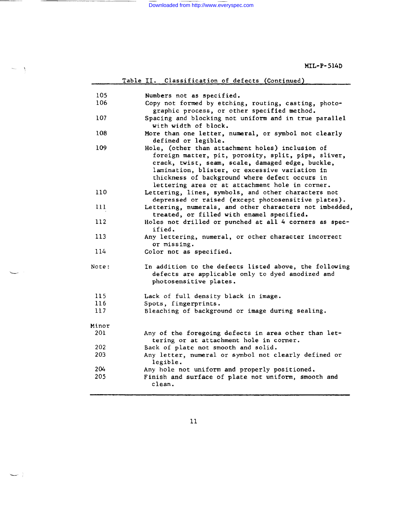|       | Table II. Classification of defects (Continued)                                                                                                                                                                                                                                                                    |
|-------|--------------------------------------------------------------------------------------------------------------------------------------------------------------------------------------------------------------------------------------------------------------------------------------------------------------------|
| 105   | Numbers not as specified.                                                                                                                                                                                                                                                                                          |
| 106   | Copy not formed by etching, routing, casting, photo-<br>graphic process, or other specified method.                                                                                                                                                                                                                |
| 107   | Spacing and blocking not uniform and in true parallel<br>with width of block.                                                                                                                                                                                                                                      |
| 108   | More than one letter, numeral, or symbol not clearly<br>defined or legible.                                                                                                                                                                                                                                        |
| 109   | Hole, (other than attachment holes) inclusion of<br>foreign matter, pit, porosity, split, pips, sliver,<br>crack, twist, seam, scale, damaged edge, buckle,<br>lamination, blister, or excessive variation in<br>thickness of background where defect occurs in<br>lettering area or at attachment hole in corner. |
| 110   | Lettering, lines, symbols, and other characters not<br>depressed or raised (except photosensitive plates).                                                                                                                                                                                                         |
| 111   | Lettering, numerals, and other characters not imbedded,<br>treated, or filled with enamel specified.                                                                                                                                                                                                               |
| 112   | Holes not drilled or punched at all 4 corners as spec-<br>ified.                                                                                                                                                                                                                                                   |
| 113   | Any lettering, numeral, or other character incorrect<br>or missing.                                                                                                                                                                                                                                                |
| 114   | Color not as specified.                                                                                                                                                                                                                                                                                            |
| Note: | In addition to the defects listed above, the following<br>defects are applicable only to dyed anodized and<br>photosensitive plates.                                                                                                                                                                               |
| 115   | Lack of full density black in image.                                                                                                                                                                                                                                                                               |
| 116   | Spots, fingerprints.                                                                                                                                                                                                                                                                                               |
| 117   | Bleaching of background or image during sealing.                                                                                                                                                                                                                                                                   |
| Minor |                                                                                                                                                                                                                                                                                                                    |
| 201   | Any of the foregoing defects in area other than let-<br>tering or at attachment hole in corner.                                                                                                                                                                                                                    |
| 202   | Back of plate not smooth and solid.                                                                                                                                                                                                                                                                                |
| 203   | Any letter, numeral or symbol not clearly defined or<br>legible.                                                                                                                                                                                                                                                   |
| 204   | Any hole not uniform and properly positioned.                                                                                                                                                                                                                                                                      |
| 205   | Finish and surface of plate not uniform, smooth and<br>clean.                                                                                                                                                                                                                                                      |

Downloaded from http://www.everyspec.com

\_\_\_\_\_

 $\sim$   $\rightarrow$ 

 $\leftarrow$  }

 $\overline{\phantom{0}}$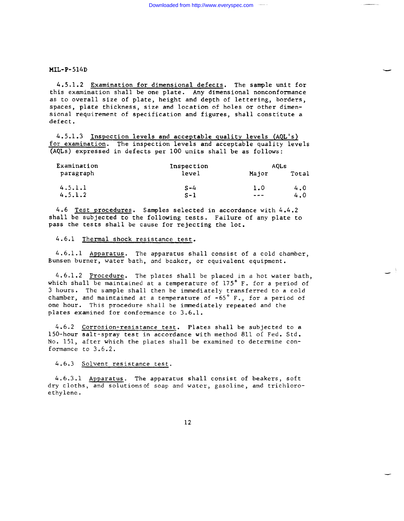4.5,1.2 Examination for dimensional defects. The sample unit for this examination shall be one plate. Any dimensional nonconformance as to overall size of plate, height and depth of lettering, borders, spaces, plate thickness, size and location of holes or other dimensional requirement of specification and figures, shall constitute a defect.

4.5.1.3 Inspection levels and acceptable quality levels (AQL's) for exmnination. The inspection levels and acceptable quality levels (AQLs) expressed in defects per 100 units shall be as follows:

| Examination | Inspection | <b>AOLs</b> |       |
|-------------|------------|-------------|-------|
| paragraph   | level      | Major       | Total |
| 4.5.1.1     | $S - 4$    | 1.0         | 4.0   |
| 4.5.1.2     | $S-1$      | $\sim -$    | 4.0   |

4.6 Test procedures. Samples selected in accordance with 4.4.2 shall be subjected to the following tests. Failure of any plate to pass the tests shall be cause for rejecting the lot.

### 4.6.1 Thermal shock resistance test.

L.6.1.1 Apparatus. The apparatus shall consist of a cold chamber, Bunsen burner, water bath, and beaker, or equivalent equipment.

4.6.1.2 Procedure. The plates shall be placed in a hot water bath, which shall be maintained at a temperature of 175° F. for a period of 3 hours. The sample shall then be immediately transferred to a cold chamber, and maintained at a temperature of  $-65^{\circ}$  F., for a period of one hour. This procedure shall be immediately repeated and the plates examined for conformance to 3.6.1.

4.6.2 Corrosion-resistance test. Plates shall be subjected to a 150-hour salt-spray test in accordance with method 811 of Fed. Std. No. 151, after which the plates shall be examined to determine conformance to 3.6.2.

4.6.3 Solvent resistance test.

4.6.3.1 Apparatus. The apparatus shall consist of beakers, soft dry cloths, and solutionsof soap and water, gasoline, and trichloroethylene.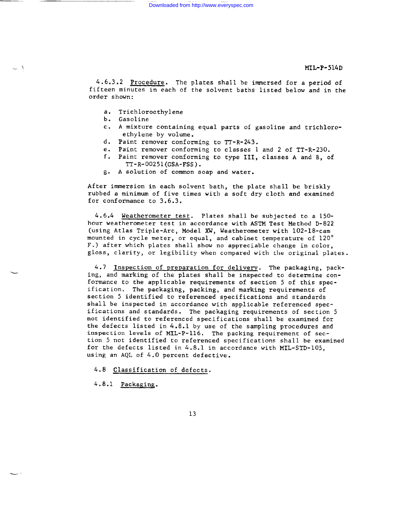Downloaded from http://www.everyspec.com

 $-$ ) MIL-P-514

4.6.3.2 Procedure. The plates shall be immersed for a period of fifteen minutes in each of the solvent baths listed below and in the order shown:

- a. Trichloroethylene
- b. Gasoline
- c. A mixture containing equal parts of gasoline and trichloroethylene by volume.
- d. Paint remover conforming to TT-R-243.
- e. Paint remover conforming to classes 1 and 2 of TT-R-230.
- f. Paint remover conforming to type III, classes A and B, of TT-R-O0251(GSA-FSS).
- g. A solution of common soap and water.

After immersion in each solvent bath, the plate shall be briskly rubbed a minimum of five times with a soft dry cloth and examined for conformance to 3.6.3.

4.6.4 Weatherometer test. Plates shall be subjected to a 150 hour weatherometer test in accordance with ASTM Test Method D-822 (using Atlas Triple-Arc, Model XW, Weatherometer with 102-18-cam mounted in cycle meter, or equal, and cabinet temperature of 120° F.) after which plates shall show no appreciable change in color, gloss, clarity, or legibility when compared with the original plates.

4.7 Inspection of preparation for delivery. The packaging, packing, and marking of the plates shall be inspected to determine conformance to the applicable requirements of section 5 of this specification. The packaging, packing, and marking requirements of section 5 identified to referenced specifications and standards shall be inspected in accordance with applicable referenced specifications and standards. The packaging requirements of section 5 not identified to referenced specifications shall be examined for the defects listed in 4.8.1 by use of the sampling procedures and inspection levels of MIL-P-L16. The packing requirement of section 5 not identified to referenced specifications shall be examined for the defects listed in 4.8.1 in accordance with MIL-STD-105, using an AQL of 4.0 percent defective.

4.8 Classification of defects.

4.8.1 Packaging.

--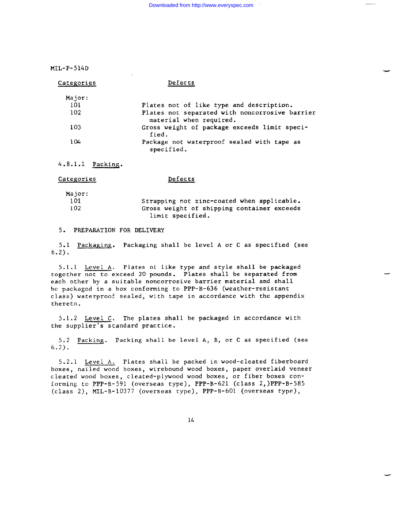| Categories | Defects                                                                   |
|------------|---------------------------------------------------------------------------|
| Major:     |                                                                           |
| 101        | Plates not of like type and description.                                  |
| 102        | Plates not separated with noncorrosive barrier<br>material when required. |
| 103        | Gross weight of package exceeds limit speci-<br>fied.                     |
| 104        | Package not waterproof sealed with tape as<br>specified.                  |

4.8.1.1 Packing.

### **Categories**

Defects

| Major: |                                            |
|--------|--------------------------------------------|
| -101   | Strapping not zinc-coated when applicable. |
| 102    | Gross weight of shipping container exceeds |
|        | limit specified.                           |

### 5. PREPARATION FOR DELIVERY

5.1 Packaging. Packaging shall be level A or C as specified (see 6.2).

5.1.1 Level A. Plates of like type and style shall be packaged together not to exceed 20 pounds. Plates shall be separated from each other by a suitable noncorrosive barrier material and shall be packaged in a box conforming to PPP-B-636 (weather-resistant class) waterproof sealed, with tape in accordance with the appendix thereto.

5.1.2 Level C. The plates shall be packaged in accordance with the supplier's standard practice.

5.2 Packing. Packing shall be level A, B, or C as specified (see  $6.2$ .

5.2.1 Level A. Plates shall be packed in wood-cleated fiberboard boxes, nailed wood boxes, wirebound wood boxes, paper overlaid veneer cLeated wood boxes, cleated-plywood wood boxes, or fiber boxes conforming to I'PP-B-591 (overseas type), PPP-B-621 (class 2,)PPP-B-585 (class 2), MIL-B-10377 (overseas type), PPP-B-601 (overseas type),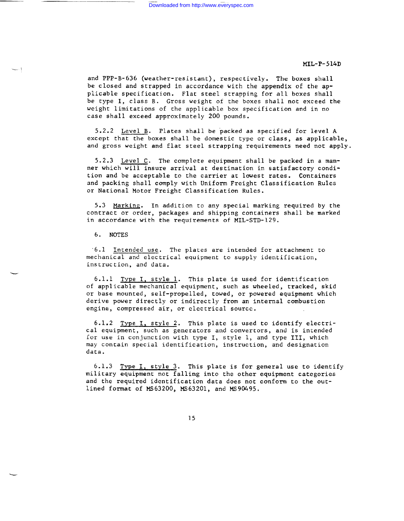and PPP-B-636 (weather-resistant), respectively. The boxes shall be closed and strapped in accordance with the appendix of the applicable specification. Flat steel strapping for all boxes shall be type I, class B. Gross weight of the boxes shall not exceed the weight limitations of the applicable box specification and in no case shall exceed approximately 200 pounds.

5.2.2 Level B. Plates shall be packed as specified for level A except that the boxes shall be domestic type or class, as applicable, and gross weight and flat steel strapping requirements need not apply.

5.2.3 Level C, The complete equipment shall be packed in a manner which will insure arrival at destination in satisfactory condition and be acceptable to the carrier at lowest rates. Containers and packing shall comply with Uniform Freight Classification Rules or National Motor Freight Classification Rules.

5.3 Marking. In addition to any special marking required by the contract or order, packages and shipping containers shall be marked in accordance with the requirements of MIL-STD-L29.

6. NOTES

-1

-

6.1 Intended use. The plates are intended for attachment to mechanical and electrical equipment to supply identification, instruction, and data.

6.1.1 Type I, style 1. This plate is used for identification of applicable mechanical equipment, such as wheeled, tracked, skid or base mounted, self-propelled, towed, or powered equipment which derive power directly or indirectly from an internal combustion engine, compressed air, or electrical source.

6.1.2 Type I, style 2. This plate is used to identify electrical equipment, such as generators and convertors, and is intended Ior use in conjunction with type I, style 1, and type III, which may contain special identification, instruction, and designation data.

6.1.3 Type I, style 3. This plate is for general use to identify military equipment not falling into the other equipment categories and the required identification data does not conform to the outlined format of MS63200, MS63201, and MS90495,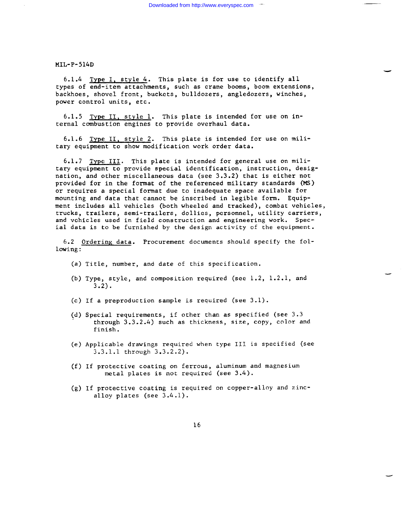6.1.4 Type I, style 4. This plate is for use to identify all types of end-item attachments, such as crane booms, boom extensions, backhoes, shovel front, buckets, bulldozers, angledozers, winches, power control units, etc.

6.1.5 Type II, style 1. This plate is intended for use on internal combustion engines to provide overhaul data.

6.1.6 Type II, style 2. This plate is intended for use on military equipment to show modification work order data,

6.1.7 Type 111. This plate is intended for general use on military equipment to provide special identification, instruction, designation, and other miscellaneous data (see 3.3.2) that is either not provided for in the format of the referenced military standards (MS) or requires a special format due to inadequate space available for mounting and data that cannot be inscribed in legible form. Equipment includes all vehicles (both wheeled and tracked), combat vehicles, trucks, trailers, semi-trailers, dollies, personnel, utility carriers, and vehicles used in field construction and engineering work. Special data is to be furnished by the design activity of the equipment.

6.2 Ordering data. Procurement documents should specify the following:

- (a) Title, number, and date of this specification.
- (b) Type, style, and composition required (see 1.2, 1.2.1, and 3.2).
- (c) If a preproduction sample is required (see 3.1).
- (d) Special requirements, if other than as specified (see 3.3 through 3.3.2.4) such as thickness, size, copy, color and finish.
- (e) Applicable drawings required when type 111 is specified (see 3.3.1.1 through 3.3.2.2).
- (f) If protective coating on ferrous, aluminum and magnesium metal plates is not required (see 3.4).
- (g) If protective coating is required on copper-alloy and zincalloy plates (see 3.4.1).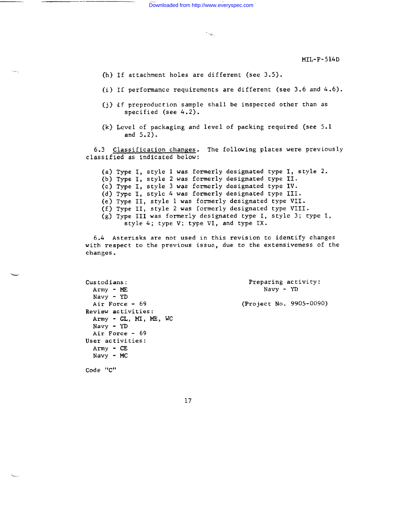Downloaded from http://www.everyspec.com

—. .

----

MIL-P-514D

- (h) If attachment holes are different (see 3.5).
- (i) If performance requirements are different (see 3.6 and 4.6).
- (j) If preproduction sample shall be inspected other than as specified (see 4.2).
- (k) Level of packaging and level of packing required (see 5.1 and 5.2).

6.3 Classification changes. The following plates were previously classified as indicated below:

(a) Type I, style 1 was formerly designated type I, style 2. (b) Type 1, style 2 was formerly designated type II. (c) Type I, style 3 was formerly designated type IV. (d) Type I, style 4 was formerly designated type III. (e) Type II, style 1 was formerly designated type VII. (f) Type II, style 2 was formerly designated type VIII. (g) Type III was formerly designated type I, style 3; type I, style 4; type V; type VI, and type IX.

6.4 Asterisks are not used in this revision to identify changes with respect to the previous issue, due to the extensiveness of the changes.

```
Custodians: Preparing activity:<br>
Army - ME Navy - YD
 Army - ME
  Navy - YD<br>Air Force - 69
                                           (Project No. 9905-0090)
Review activities:
 Army - GL, MI, ME, WC
  Navy - YD
  Air Force - 69
User activities:
  Army - CE
  Navy - MC
Code "C"
```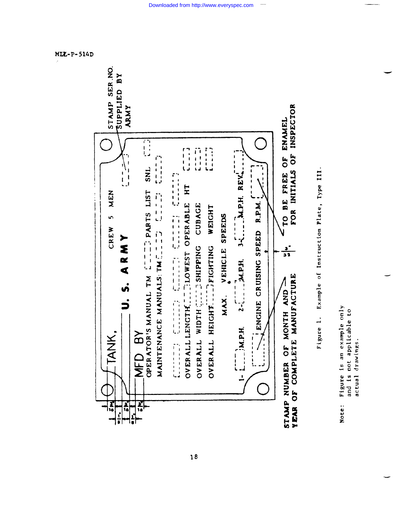

 $18$ 



Figure is an example only and is not applicable to actual drawings. Note: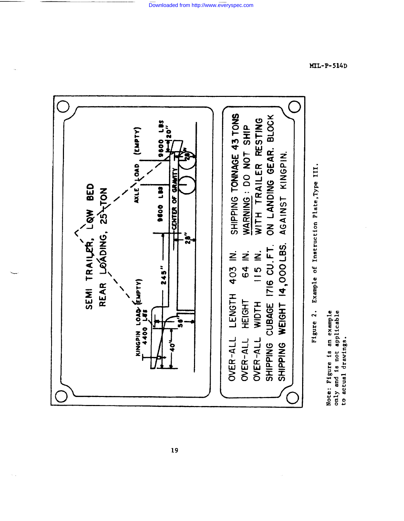



only and is not applicable Note: Figure is an example to actual drawings.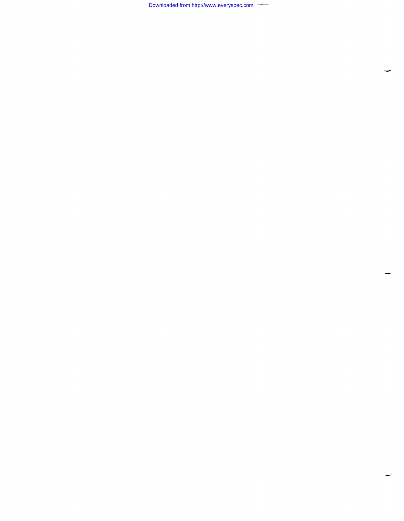Downloaded from http://www.everyspec.com —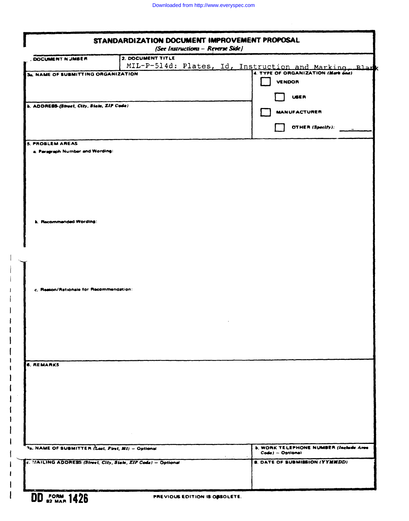|                                                               | STANDARDIZATION DOCUMENT IMPROVEMENT PROPOSAL<br>(See Instructions - Reverse Side) |                                               |                                                                                                             |
|---------------------------------------------------------------|------------------------------------------------------------------------------------|-----------------------------------------------|-------------------------------------------------------------------------------------------------------------|
| DOCUMENT NUMBER                                               | 2. DOCUMENT TITLE                                                                  |                                               |                                                                                                             |
| 34. NAME OF SUBMITTING ORGANIZATION                           |                                                                                    |                                               |                                                                                                             |
|                                                               |                                                                                    | <b>VENDOR</b>                                 |                                                                                                             |
|                                                               |                                                                                    |                                               |                                                                                                             |
| b. ADDRESS-(Street, City, State, ZIP Code)                    |                                                                                    |                                               | MIL-P-514d: Plates, Id, Instruction and Marking, Blank<br>TION (Methods)<br><b>USER</b><br>OTHER (Specify): |
|                                                               |                                                                                    | <b>MANUFACTURER</b>                           |                                                                                                             |
|                                                               |                                                                                    |                                               |                                                                                                             |
|                                                               |                                                                                    |                                               |                                                                                                             |
| <b>5. PROBLEM AREAS</b>                                       |                                                                                    |                                               |                                                                                                             |
| a. Paragraph Number and Wording:                              |                                                                                    |                                               |                                                                                                             |
|                                                               |                                                                                    |                                               |                                                                                                             |
|                                                               |                                                                                    |                                               |                                                                                                             |
|                                                               |                                                                                    |                                               |                                                                                                             |
|                                                               |                                                                                    |                                               |                                                                                                             |
|                                                               |                                                                                    |                                               |                                                                                                             |
|                                                               |                                                                                    |                                               |                                                                                                             |
| b. Recommended Wording:                                       |                                                                                    |                                               |                                                                                                             |
|                                                               |                                                                                    |                                               |                                                                                                             |
|                                                               |                                                                                    |                                               |                                                                                                             |
|                                                               |                                                                                    |                                               |                                                                                                             |
|                                                               |                                                                                    |                                               |                                                                                                             |
|                                                               |                                                                                    |                                               |                                                                                                             |
|                                                               |                                                                                    |                                               |                                                                                                             |
| c. Resson/Rationale for Recommendation:                       |                                                                                    |                                               |                                                                                                             |
|                                                               |                                                                                    |                                               |                                                                                                             |
|                                                               |                                                                                    |                                               |                                                                                                             |
|                                                               |                                                                                    |                                               |                                                                                                             |
|                                                               |                                                                                    |                                               |                                                                                                             |
|                                                               |                                                                                    |                                               |                                                                                                             |
|                                                               |                                                                                    |                                               |                                                                                                             |
|                                                               |                                                                                    |                                               |                                                                                                             |
| <b>6. REMARKS</b>                                             |                                                                                    |                                               |                                                                                                             |
|                                                               |                                                                                    |                                               |                                                                                                             |
|                                                               |                                                                                    |                                               |                                                                                                             |
|                                                               |                                                                                    |                                               |                                                                                                             |
|                                                               |                                                                                    |                                               |                                                                                                             |
|                                                               |                                                                                    |                                               |                                                                                                             |
|                                                               |                                                                                    |                                               |                                                                                                             |
|                                                               |                                                                                    |                                               |                                                                                                             |
|                                                               |                                                                                    |                                               |                                                                                                             |
|                                                               |                                                                                    | <b>b. WORK TELEPHONE NUMBER (Include Area</b> |                                                                                                             |
| 7s. NAME OF SUBMITTER (Lest, First, MI) - Optional            |                                                                                    |                                               |                                                                                                             |
|                                                               |                                                                                    | Code) - Optional                              |                                                                                                             |
| c. MAILING ADDRESS (Street, City, State, ZIP Code) - Optional |                                                                                    | <b>8. DATE OF SUBMISSION (YYMMDD)</b>         |                                                                                                             |

I

**I** I I i I I I I I I I I I

I 1 I I I I